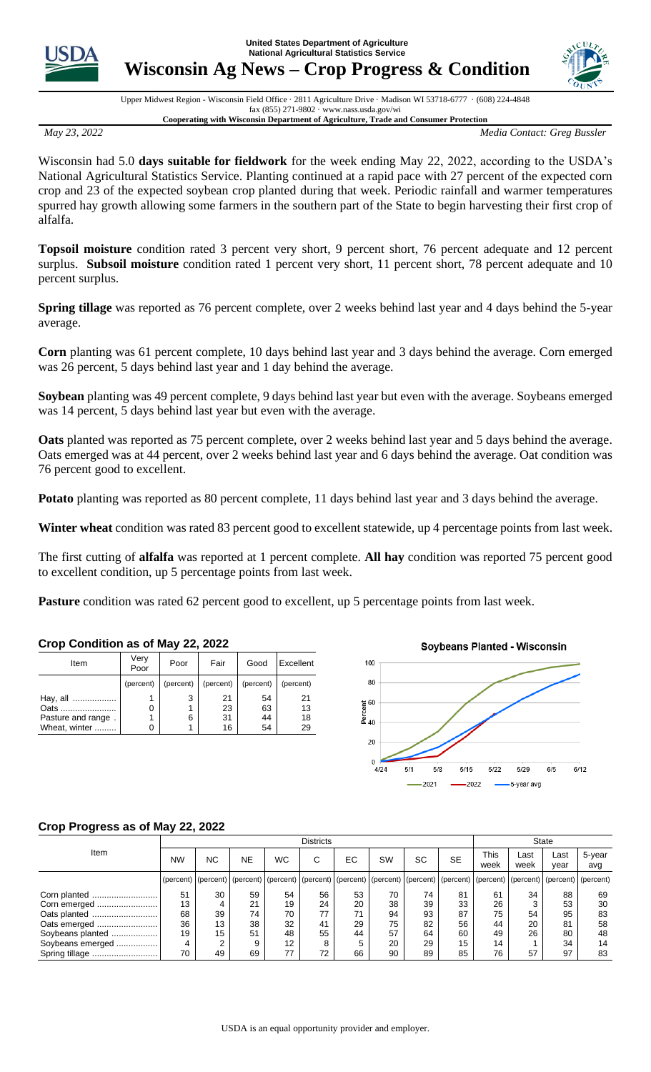**United States Department of Agriculture National Agricultural Statistics Service**



**Wisconsin Ag News – Crop Progress & Condition** 



Upper Midwest Region - Wisconsin Field Office · 2811 Agriculture Drive · Madison WI 53718-6777 · (608) 224-4848 fax (855) 271-9802 · www.nass.usda.gov/wi **Cooperating with Wisconsin Department of Agriculture, Trade and Consumer Protection**

*May 23, 2022 Media Contact: Greg Bussler*

Wisconsin had 5.0 **days suitable for fieldwork** for the week ending May 22, 2022, according to the USDA's National Agricultural Statistics Service. Planting continued at a rapid pace with 27 percent of the expected corn crop and 23 of the expected soybean crop planted during that week. Periodic rainfall and warmer temperatures spurred hay growth allowing some farmers in the southern part of the State to begin harvesting their first crop of alfalfa.

**Topsoil moisture** condition rated 3 percent very short, 9 percent short, 76 percent adequate and 12 percent surplus. **Subsoil moisture** condition rated 1 percent very short, 11 percent short, 78 percent adequate and 10 percent surplus.

**Spring tillage** was reported as 76 percent complete, over 2 weeks behind last year and 4 days behind the 5-year average.

**Corn** planting was 61 percent complete, 10 days behind last year and 3 days behind the average. Corn emerged was 26 percent, 5 days behind last year and 1 day behind the average.

**Soybean** planting was 49 percent complete, 9 days behind last year but even with the average. Soybeans emerged was 14 percent, 5 days behind last year but even with the average.

**Oats** planted was reported as 75 percent complete, over 2 weeks behind last year and 5 days behind the average. Oats emerged was at 44 percent, over 2 weeks behind last year and 6 days behind the average. Oat condition was 76 percent good to excellent.

**Potato** planting was reported as 80 percent complete, 11 days behind last year and 3 days behind the average.

**Winter wheat** condition was rated 83 percent good to excellent statewide, up 4 percentage points from last week.

The first cutting of **alfalfa** was reported at 1 percent complete. **All hay** condition was reported 75 percent good to excellent condition, up 5 percentage points from last week.

**Pasture** condition was rated 62 percent good to excellent, up 5 percentage points from last week.

| Very<br>Poor | Poor      | Fair      | Good      | Excellent |  |
|--------------|-----------|-----------|-----------|-----------|--|
| (percent)    | (percent) | (percent) | (percent) | (percent) |  |
|              | 3         | 21        | 54        | 21        |  |
| 0            |           | 23        | 63        | 13        |  |
|              | 6         | 31        | 44        | 18        |  |
| ი            |           | 16        | 54        | 29        |  |
|              |           |           |           |           |  |



## **Crop Progress as of May 22, 2022**

**Crop Condition as of May 22, 2022**

|                  | <b>Districts</b> |           |    |                   |                                                                                                                                                                                                                                |    |           |    | <b>State</b> |              |              |              |               |
|------------------|------------------|-----------|----|-------------------|--------------------------------------------------------------------------------------------------------------------------------------------------------------------------------------------------------------------------------|----|-----------|----|--------------|--------------|--------------|--------------|---------------|
| Item             | <b>NW</b>        | <b>NC</b> | NE | <b>WC</b>         | C                                                                                                                                                                                                                              | EC | <b>SW</b> | SC | <b>SE</b>    | This<br>week | ∟ast<br>week | Last<br>year | 5-year<br>avg |
|                  |                  |           |    |                   | (percent)   (percent)   (percent)   (percent)   (percent)   (percent)   (percent)   (percent)   (percent)   (percent)   (percent)   (percent)   (percent)   (percent)   (percent)   (percent)   (percent)   (percent)   (perce |    |           |    |              |              |              |              |               |
| Corn planted     | 51               | 30        | 59 | 54                | 56                                                                                                                                                                                                                             | 53 | 70        | 74 | 81           | 61           | 34           | 88           | 69            |
| Corn emerged     | 13               |           | 21 | 19                | 24                                                                                                                                                                                                                             | 20 | 38        | 39 | 33           | 26           | 3            | 53           | 30            |
|                  | 68               | 39        | 74 | 70                |                                                                                                                                                                                                                                | 71 | 94        | 93 | 87           | 75           | 54           | 95           | 83            |
| Oats emerged     | 36               | 13        | 38 | 32                | 41                                                                                                                                                                                                                             | 29 | 75        | 82 | 56           | 44           | 20           | 81           | 58            |
| Soybeans planted | 19               | 15        | 51 | 48                | 55                                                                                                                                                                                                                             | 44 | 57        | 64 | 60           | 49           | 26           | 80           | 48            |
| Soybeans emerged |                  |           | 9  | $12 \overline{ }$ | o                                                                                                                                                                                                                              | 5  | 20        | 29 | 15           | 14           |              | 34           | 14            |
| Spring tillage   | 70               | 49        | 69 | 77                | 72                                                                                                                                                                                                                             | 66 | 90        | 89 | 85           | 76           | 57           | 97           | 83            |